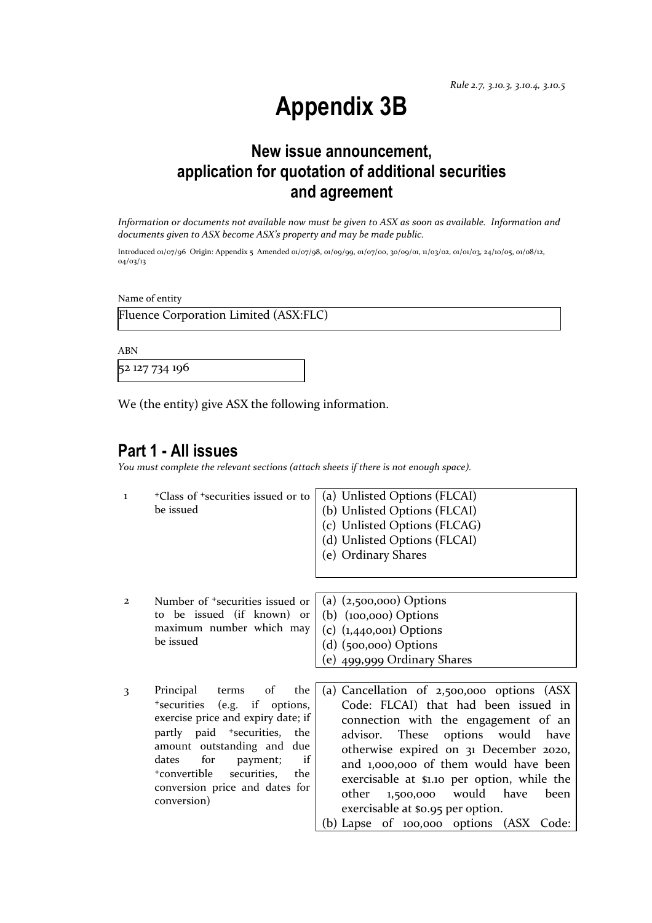# **Appendix 3B**

### **New issue announcement, application for quotation of additional securities and agreement**

*Information or documents not available now must be given to ASX as soon as available. Information and documents given to ASX become ASX's property and may be made public.* 

Introduced 01/07/96 Origin: Appendix 5 Amended 01/07/98, 01/09/99, 01/07/00, 30/09/01, 11/03/02, 01/01/03, 24/10/05, 01/08/12, 04/03/13

Name of entity

Fluence Corporation Limited (ASX:FLC)

ABN

52 127 734 196

We (the entity) give ASX the following information.

### **Part 1 - All issues**

*You must complete the relevant sections (attach sheets if there is not enough space).*

| 1                       | <sup>+</sup> Class of <sup>+</sup> securities issued or to<br>be issued                                                                                                                                                                                                                             | (a) Unlisted Options (FLCAI)<br>(b) Unlisted Options (FLCAI)<br>(c) Unlisted Options (FLCAG)<br>(d) Unlisted Options (FLCAI)<br>(e) Ordinary Shares                                                                                                                                                                                                                                                                              |  |
|-------------------------|-----------------------------------------------------------------------------------------------------------------------------------------------------------------------------------------------------------------------------------------------------------------------------------------------------|----------------------------------------------------------------------------------------------------------------------------------------------------------------------------------------------------------------------------------------------------------------------------------------------------------------------------------------------------------------------------------------------------------------------------------|--|
| $\overline{2}$          | Number of <sup>+</sup> securities issued or<br>to be issued (if known) or<br>maximum number which may<br>be issued                                                                                                                                                                                  | (a) $(2,500,000)$ Options<br>$(b)$ (100,000) Options<br>$(c)$ (1,440,001) Options<br>$(d)$ (500,000) Options<br>(e) $499,999$ Ordinary Shares                                                                                                                                                                                                                                                                                    |  |
| $\overline{\mathbf{3}}$ | terms of<br>Principal<br>the<br>*securities (e.g. if options,<br>exercise price and expiry date; if<br>partly paid <sup>+</sup> securities, the<br>amount outstanding and due<br>for<br>if<br>dates<br>payment;<br>+convertible<br>securities, the<br>conversion price and dates for<br>conversion) | Cancellation of 2,500,000 options (ASX<br>(a)<br>Code: FLCAI) that had been issued in<br>connection with the engagement of an<br>These options would have<br>advisor.<br>otherwise expired on 31 December 2020,<br>and 1,000,000 of them would have been<br>exercisable at \$1.10 per option, while the<br>1,500,000 would have<br>other<br>been<br>exercisable at \$0.95 per option.<br>(b) Lapse of 100,000 options (ASX Code: |  |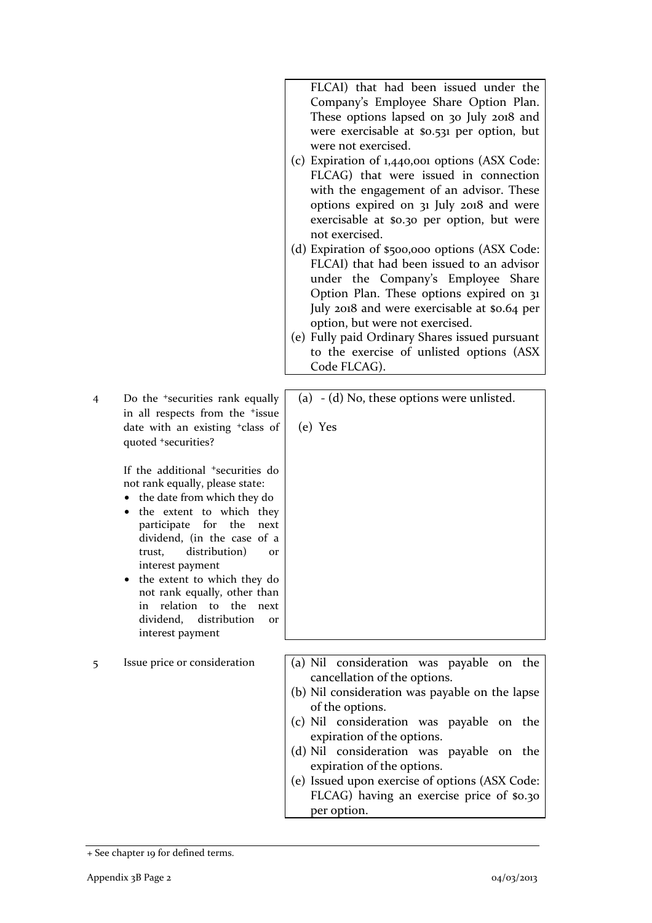FLCAI) that had been issued under the Company's Employee Share Option Plan. These options lapsed on 30 July 2018 and were exercisable at \$0.531 per option, but were not exercised.

- (c) Expiration of 1,440,001 options (ASX Code: FLCAG) that were issued in connection with the engagement of an advisor. These options expired on 31 July 2018 and were exercisable at \$0.30 per option, but were not exercised.
- (d) Expiration of \$500,000 options (ASX Code: FLCAI) that had been issued to an advisor under the Company's Employee Share Option Plan. These options expired on 31 July 2018 and were exercisable at \$0.64 per option, but were not exercised.
- (e) Fully paid Ordinary Shares issued pursuant to the exercise of unlisted options (ASX Code FLCAG).
- 4 Do the +securities rank equally in all respects from the +issue date with an existing +class of quoted +securities?

If the additional +securities do not rank equally, please state:

- the date from which they do
- the extent to which they participate for the next dividend, (in the case of a trust, distribution) or interest payment
- the extent to which they do not rank equally, other than in relation to the next dividend, distribution or interest payment

(a) - (d) No, these options were unlisted.

(e) Yes

- 5 Issue price or consideration  $\vert$  (a) Nil consideration was payable on the cancellation of the options.
	- (b) Nil consideration was payable on the lapse of the options.
	- (c) Nil consideration was payable on the expiration of the options.
	- (d) Nil consideration was payable on the expiration of the options.
	- (e) Issued upon exercise of options (ASX Code: FLCAG) having an exercise price of \$0.30 per option.

<sup>+</sup> See chapter 19 for defined terms.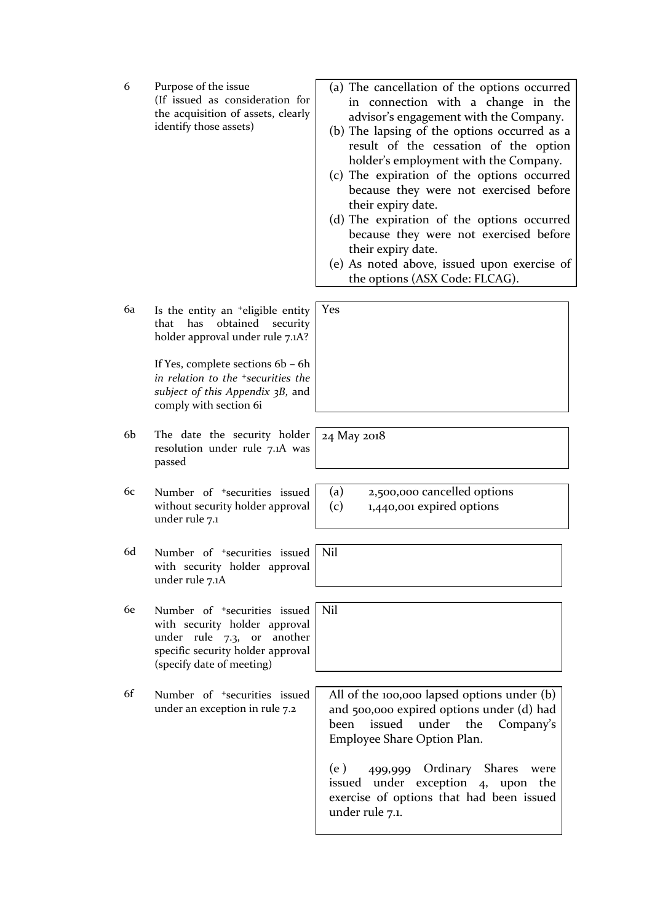| 6  | Purpose of the issue<br>(If issued as consideration for<br>the acquisition of assets, clearly<br>identify those assets)                                                      | (a) The cancellation of the options occurred<br>in connection with a change in the<br>advisor's engagement with the Company.<br>(b) The lapsing of the options occurred as a<br>result of the cessation of the option<br>holder's employment with the Company.<br>(c) The expiration of the options occurred<br>because they were not exercised before<br>their expiry date.<br>(d) The expiration of the options occurred<br>because they were not exercised before<br>their expiry date.<br>(e) As noted above, issued upon exercise of<br>the options (ASX Code: FLCAG). |
|----|------------------------------------------------------------------------------------------------------------------------------------------------------------------------------|-----------------------------------------------------------------------------------------------------------------------------------------------------------------------------------------------------------------------------------------------------------------------------------------------------------------------------------------------------------------------------------------------------------------------------------------------------------------------------------------------------------------------------------------------------------------------------|
| 6a | Is the entity an <sup>+</sup> eligible entity<br>has<br>obtained<br>security<br>that<br>holder approval under rule 7.1A?                                                     | Yes                                                                                                                                                                                                                                                                                                                                                                                                                                                                                                                                                                         |
|    | If Yes, complete sections 6b - 6h<br>in relation to the <sup>+</sup> securities the<br>subject of this Appendix 3B, and<br>comply with section 6i                            |                                                                                                                                                                                                                                                                                                                                                                                                                                                                                                                                                                             |
| 6b | The date the security holder<br>resolution under rule 7.1A was<br>passed                                                                                                     | 24 May 2018                                                                                                                                                                                                                                                                                                                                                                                                                                                                                                                                                                 |
| 6c | Number of <sup>+</sup> securities issued<br>without security holder approval<br>under rule 7.1                                                                               | (a)<br>2,500,000 cancelled options<br>(c)<br>1,440,001 expired options                                                                                                                                                                                                                                                                                                                                                                                                                                                                                                      |
| 6d | Number of <sup>+</sup> securities issued<br>with security holder approval<br>under rule 7.1A                                                                                 | Nil                                                                                                                                                                                                                                                                                                                                                                                                                                                                                                                                                                         |
| 6e | Number of <sup>+</sup> securities issued<br>with security holder approval<br>under rule 7.3, or<br>another<br>specific security holder approval<br>(specify date of meeting) | Nil                                                                                                                                                                                                                                                                                                                                                                                                                                                                                                                                                                         |
| 6f | Number of <sup>+</sup> securities issued<br>under an exception in rule 7.2                                                                                                   | All of the 100,000 lapsed options under (b)<br>and 500,000 expired options under (d) had<br>been<br>issued under<br>the<br>Company's<br>Employee Share Option Plan.<br>499,999 Ordinary Shares<br>(e)<br>were<br>issued under exception 4, upon<br>the<br>exercise of options that had been issued<br>under rule 7.1.                                                                                                                                                                                                                                                       |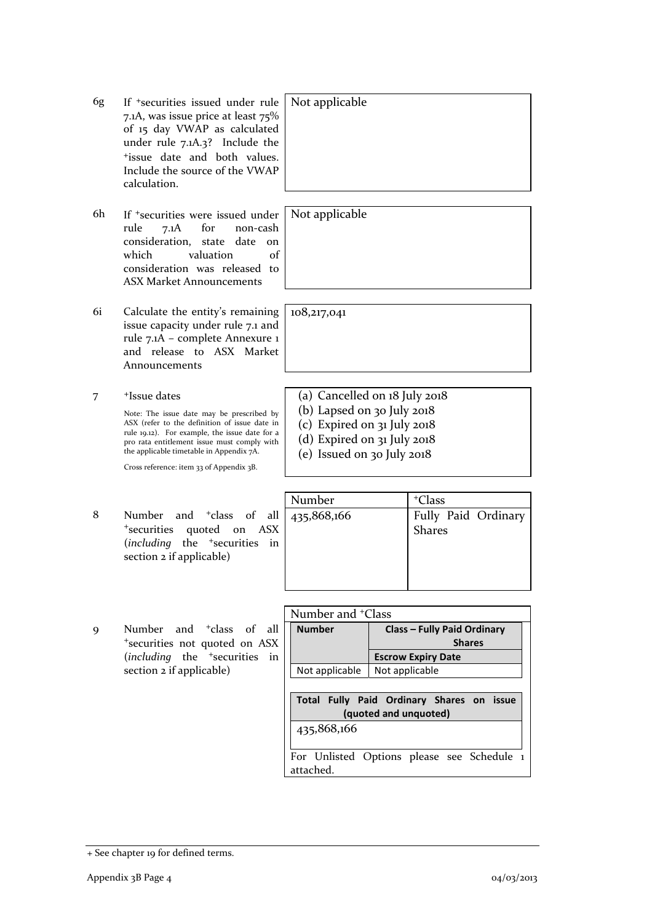+ See chapter 19 for defined terms.

- 6g If +securities issued under rule 7.1A, was issue price at least 75% of 15 day VWAP as calculated under rule 7.1A.3? Include the +issue date and both values. Include the source of the VWAP calculation.
- 6h If +securities were issued under rule 7.1A for non-cash consideration, state date on which valuation of consideration was released to ASX Market Announcements
- 6i Calculate the entity's remaining issue capacity under rule 7.1 and rule 7.1A – complete Annexure 1 and release to ASX Market Announcements
- 7 +Issue dates

Note: The issue date may be prescribed by ASX (refer to the definition of issue date in rule 19.12). For example, the issue date for a pro rata entitlement issue must comply with the applicable timetable in Appendix 7A.

Cross reference: item 33 of Appendix 3B.

- 8 Number and <sup>+</sup>class of all <sup>+</sup>securities quoted on ASX (*including* the <sup>+</sup>securities in section 2 if applicable)
- 9 Number and <sup>+</sup>class of all <sup>+</sup>securities not quoted on ASX (*including* the <sup>+</sup>securities in section 2 if applicable)

Not applicable

Not applicable

108,217,041

- (a) Cancelled on 18 July 2018
- (b) Lapsed on 30 July 2018
- (c) Expired on 31 July 2018
- (d) Expired on 31 July 2018
- (e) Issued on 30 July 2018

|   |                                                                                            | Number | <sup>+</sup> Class                   |
|---|--------------------------------------------------------------------------------------------|--------|--------------------------------------|
| 8 | Number and $\frac{1}{2}$ class of all $\frac{1}{435,868,166}$<br>*securities quoted on ASX |        | Fully Paid Ordinary<br><b>Shares</b> |
|   | (including the <sup>+</sup> securities in<br>section 2 if applicable)                      |        |                                      |
|   |                                                                                            |        |                                      |

|   |                                              | Number and <sup>+</sup> Class |                                                                    |
|---|----------------------------------------------|-------------------------------|--------------------------------------------------------------------|
| 9 | Number and <sup>+</sup> class of all         | <b>Number</b>                 | <b>Class - Fully Paid Ordinary</b>                                 |
|   | *securities not quoted on ASX                |                               | <b>Shares</b>                                                      |
|   | (including the <sup>+</sup> securities<br>in |                               | <b>Escrow Expiry Date</b>                                          |
|   | section 2 if applicable)                     | Not applicable                | Not applicable                                                     |
|   |                                              |                               |                                                                    |
|   |                                              |                               | Total Fully Paid Ordinary Shares on issue<br>(quoted and unquoted) |
|   |                                              | 435,868,166                   |                                                                    |
|   |                                              | attached.                     | For Unlisted Options please see Schedule 1                         |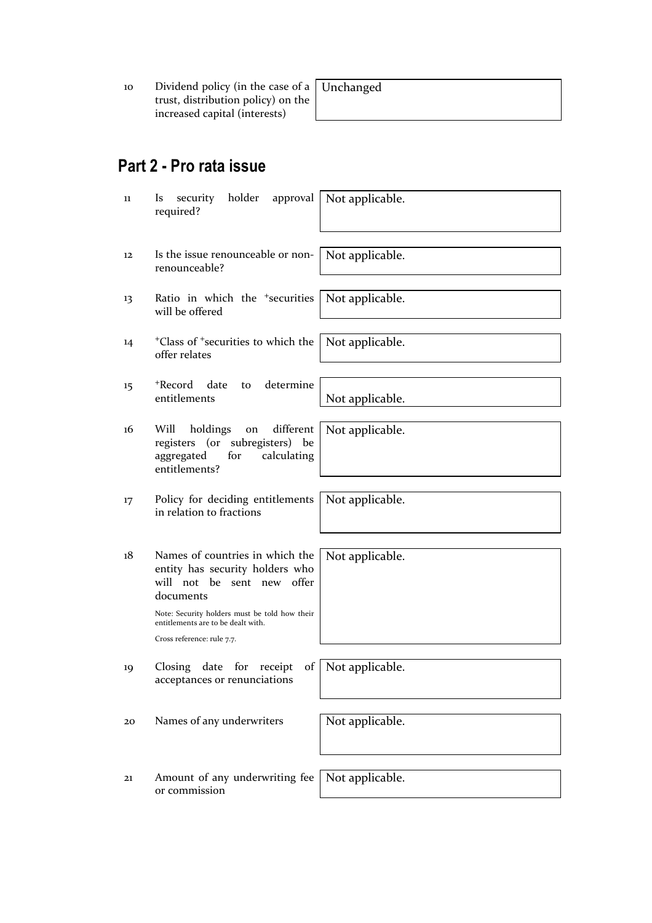10 Dividend policy (in the case of a trust, distribution policy) on the increased capital (interests)

# **Part 2 - Pro rata issue**

| 11 | holder<br>approval<br>security<br><i>ls</i><br>required?                                                                                                                                                                           | Not applicable. |
|----|------------------------------------------------------------------------------------------------------------------------------------------------------------------------------------------------------------------------------------|-----------------|
| 12 | Is the issue renounceable or non-<br>renounceable?                                                                                                                                                                                 | Not applicable. |
| 13 | Ratio in which the <sup>+</sup> securities<br>will be offered                                                                                                                                                                      | Not applicable. |
| 14 | <sup>+</sup> Class of <sup>+</sup> securities to which the<br>offer relates                                                                                                                                                        | Not applicable. |
| 15 | <sup>+</sup> Record<br>date<br>determine<br>to<br>entitlements                                                                                                                                                                     | Not applicable. |
| 16 | Will<br>holdings<br>different<br>on<br>registers (or subregisters) be<br>for<br>calculating<br>aggregated<br>entitlements?                                                                                                         | Not applicable. |
| 17 | Policy for deciding entitlements<br>in relation to fractions                                                                                                                                                                       | Not applicable. |
| 18 | Names of countries in which the<br>entity has security holders who<br>will not be sent new offer<br>documents<br>Note: Security holders must be told how their<br>entitlements are to be dealt with.<br>Cross reference: rule 7.7. | Not applicable. |
| 19 | date<br>Closing<br>for<br>receipt<br>of<br>acceptances or renunciations                                                                                                                                                            | Not applicable. |
| 20 | Names of any underwriters                                                                                                                                                                                                          | Not applicable. |
| 21 | Amount of any underwriting fee<br>or commission                                                                                                                                                                                    | Not applicable. |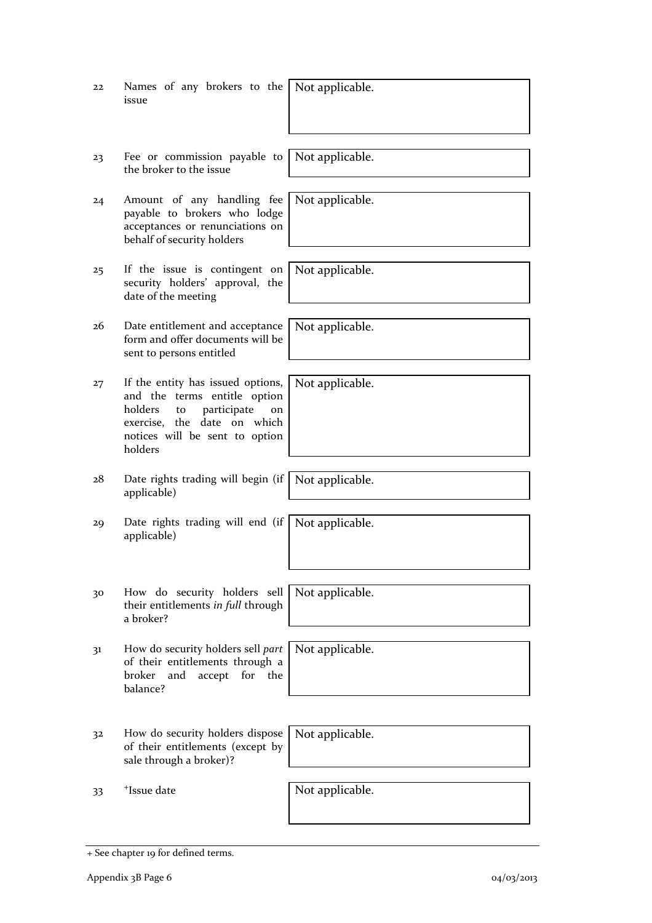| 22 | Names of any brokers to the<br>issue                                                                                                                                                | Not applicable. |
|----|-------------------------------------------------------------------------------------------------------------------------------------------------------------------------------------|-----------------|
| 23 | Fee or commission payable to<br>the broker to the issue                                                                                                                             | Not applicable. |
| 24 | Amount of any handling fee<br>payable to brokers who lodge<br>acceptances or renunciations on<br>behalf of security holders                                                         | Not applicable. |
| 25 | If the issue is contingent on<br>security holders' approval, the<br>date of the meeting                                                                                             | Not applicable. |
| 26 | Date entitlement and acceptance<br>form and offer documents will be<br>sent to persons entitled                                                                                     | Not applicable. |
| 27 | If the entity has issued options,<br>and the terms entitle option<br>holders<br>participate<br>to<br>on<br>exercise, the date on which<br>notices will be sent to option<br>holders | Not applicable. |
| 28 | Date rights trading will begin (if<br>applicable)                                                                                                                                   | Not applicable. |
| 29 | Date rights trading will end (if<br>applicable)                                                                                                                                     | Not applicable. |
| 30 | How do security holders sell<br>their entitlements in full through<br>a broker?                                                                                                     | Not applicable. |
| 31 | How do security holders sell part<br>of their entitlements through a<br>broker<br>accept<br>for<br>and<br>the<br>balance?                                                           | Not applicable. |
| 32 | How do security holders dispose<br>of their entitlements (except by<br>sale through a broker)?                                                                                      | Not applicable. |
| 33 | <sup>+</sup> Issue date                                                                                                                                                             | Not applicable. |

<sup>+</sup> See chapter 19 for defined terms.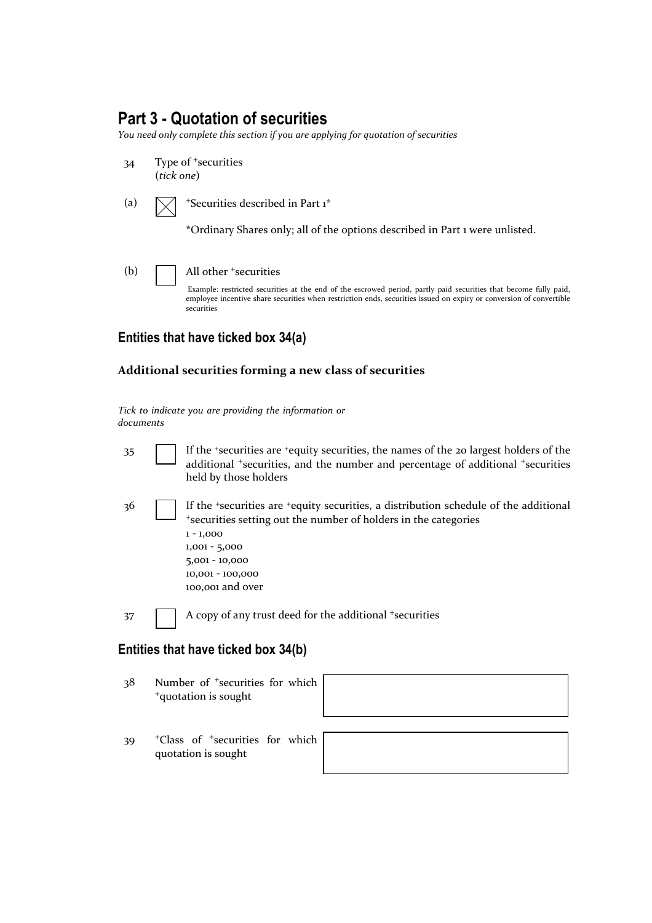### **Part 3 - Quotation of securities**

*You need only complete this section if you are applying for quotation of securities* 

- 34 Type of <sup>+</sup>securities (*tick one*)
- (a)  $\sqrt{\phantom{a}}$  +Securities described in Part 1\*

\*Ordinary Shares only; all of the options described in Part 1 were unlisted.

(b) **All other +securities** Example: restricted securities at the end of the escrowed period, partly paid securities that become fully paid, employee incentive share securities when restriction ends, securities issued on expiry or conversion of convertible securities

#### **Entities that have ticked box 34(a)**

#### **Additional securities forming a new class of securities**

*Tick to indicate you are providing the information or documents*

35 If the +securities are +equity securities, the names of the 20 largest holders of the additional <sup>+</sup>securities, and the number and percentage of additional <sup>+</sup>securities held by those holders 36 If the <sup>+</sup>securities are <sup>+</sup>equity securities, a distribution schedule of the additional <sup>+</sup>securities setting out the number of holders in the categories 1 - 1,000 1,001 - 5,000 5,001 - 10,000 10,001 - 100,000 100,001 and over 37 A copy of any trust deed for the additional + securities

# **Entities that have ticked box 34(b)**

- 38 Number of <sup>+</sup>securities for which <sup>+</sup>quotation is sought
- 39 <sup>+</sup>Class of <sup>+</sup>securities for which quotation is sought

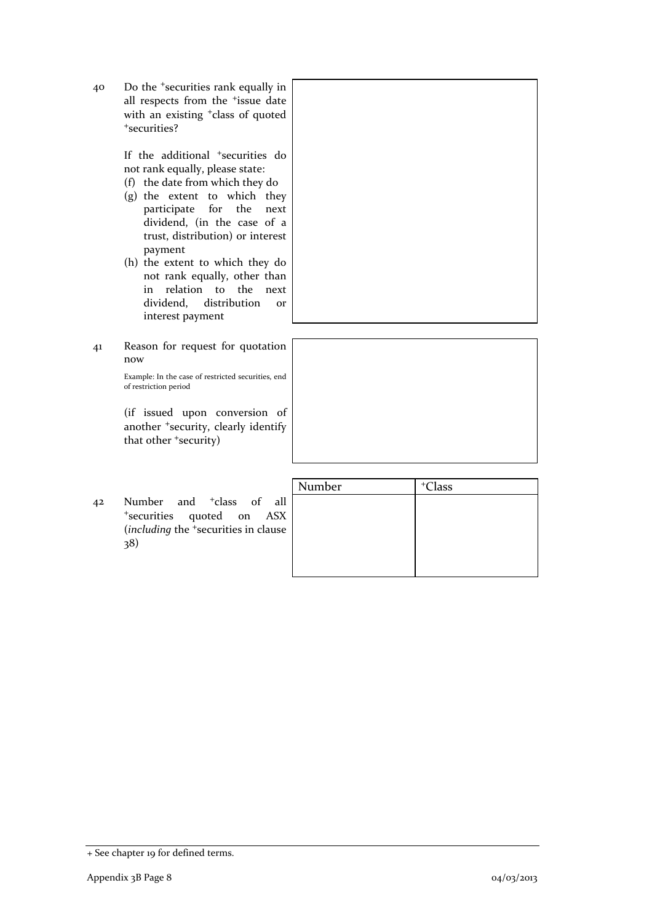40 Do the <sup>+</sup>securities rank equally in all respects from the <sup>+</sup>issue date with an existing <sup>+</sup>class of quoted <sup>+</sup>securities?

> If the additional <sup>+</sup>securities do not rank equally, please state:

- (f) the date from which they do
- (g) the extent to which they participate for the next dividend, (in the case of a trust, distribution) or interest payment
- (h) the extent to which they do not rank equally, other than in relation to the next dividend, distribution or interest payment
- 41 Reason for request for quotation now

Example: In the case of restricted securities, end of restriction period

(if issued upon conversion of another <sup>+</sup>security, clearly identify that other <sup>+</sup>security)

|    |                                                                                                                                          | Number | <sup>+</sup> Class |
|----|------------------------------------------------------------------------------------------------------------------------------------------|--------|--------------------|
| 42 | Number and <sup>+</sup> class of all<br><sup>+</sup> securities quoted on ASX<br>(including the <sup>+</sup> securities in clause<br>38) |        |                    |

<sup>+</sup> See chapter 19 for defined terms.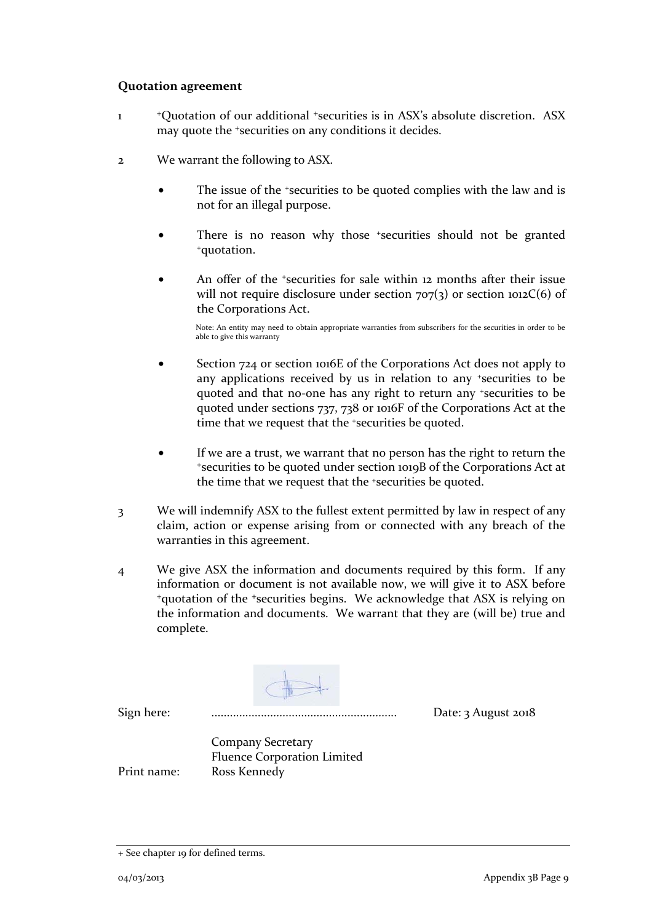#### **Quotation agreement**

- 1 <sup>+</sup>Quotation of our additional <sup>+</sup>securities is in ASX's absolute discretion. ASX may quote the <sup>+</sup>securities on any conditions it decides.
- 2 We warrant the following to ASX.
	- The issue of the +securities to be quoted complies with the law and is not for an illegal purpose.
	- There is no reason why those \*securities should not be granted \*quotation.
	- An offer of the *\*securities* for sale within 12 months after their issue will not require disclosure under section  $707(3)$  or section  $1012C(6)$  of the Corporations Act.

Note: An entity may need to obtain appropriate warranties from subscribers for the securities in order to be able to give this warranty

- Section 724 or section 1016E of the Corporations Act does not apply to any applications received by us in relation to any +securities to be quoted and that no-one has any right to return any +securities to be quoted under sections 737, 738 or 1016F of the Corporations Act at the time that we request that the <sup>+</sup>securities be quoted.
- If we are a trust, we warrant that no person has the right to return the <sup>+</sup>securities to be quoted under section 1019B of the Corporations Act at the time that we request that the +securities be quoted.
- 3 We will indemnify ASX to the fullest extent permitted by law in respect of any claim, action or expense arising from or connected with any breach of the warranties in this agreement.
- 4 We give ASX the information and documents required by this form. If any information or document is not available now, we will give it to ASX before <sup>+</sup>quotation of the <sup>+</sup>securities begins. We acknowledge that ASX is relying on the information and documents. We warrant that they are (will be) true and complete.

Sign here: ............................................................ Date: 3 August 2018

Company Secretary Fluence Corporation Limited Print name: Ross Kennedy

<sup>+</sup> See chapter 19 for defined terms.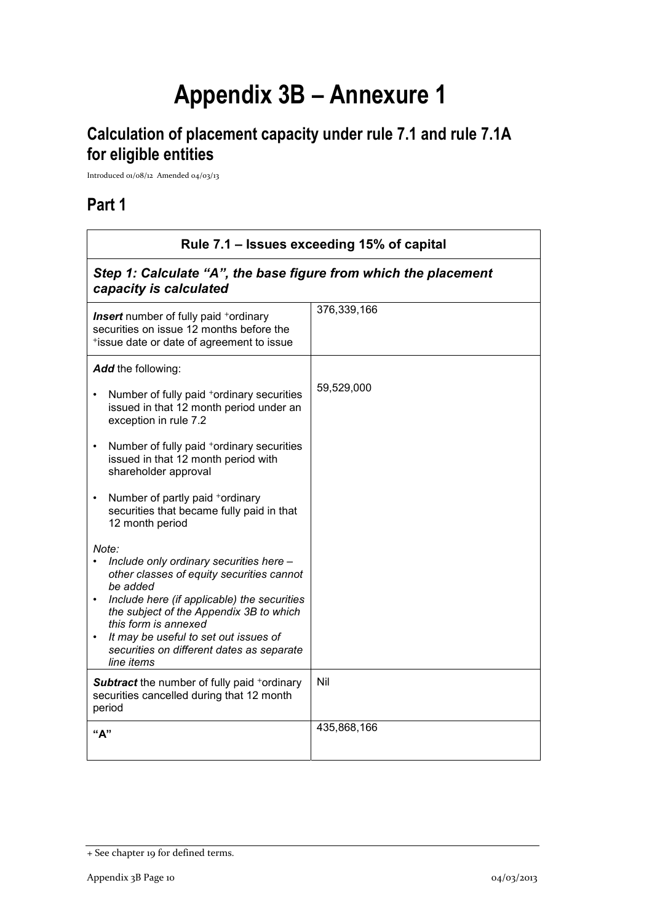# **Appendix 3B – Annexure 1**

# **Calculation of placement capacity under rule 7.1 and rule 7.1A for eligible entities**

Introduced 01/08/12 Amended 04/03/13

### **Part 1**

| Rule 7.1 - Issues exceeding 15% of capital                                                                                                                                                                                                                                                                                      |             |  |
|---------------------------------------------------------------------------------------------------------------------------------------------------------------------------------------------------------------------------------------------------------------------------------------------------------------------------------|-------------|--|
| Step 1: Calculate "A", the base figure from which the placement<br>capacity is calculated                                                                                                                                                                                                                                       |             |  |
| <b>Insert</b> number of fully paid <sup>+</sup> ordinary<br>securities on issue 12 months before the<br>*issue date or date of agreement to issue                                                                                                                                                                               | 376,339,166 |  |
| Add the following:                                                                                                                                                                                                                                                                                                              |             |  |
| Number of fully paid +ordinary securities<br>issued in that 12 month period under an<br>exception in rule 7.2                                                                                                                                                                                                                   | 59,529,000  |  |
| Number of fully paid <sup>+</sup> ordinary securities<br>$\bullet$<br>issued in that 12 month period with<br>shareholder approval                                                                                                                                                                                               |             |  |
| Number of partly paid +ordinary<br>securities that became fully paid in that<br>12 month period                                                                                                                                                                                                                                 |             |  |
| Note:<br>Include only ordinary securities here -<br>other classes of equity securities cannot<br>be added<br>Include here (if applicable) the securities<br>the subject of the Appendix 3B to which<br>this form is annexed<br>It may be useful to set out issues of<br>securities on different dates as separate<br>line items |             |  |
| <b>Subtract</b> the number of fully paid +ordinary<br>securities cancelled during that 12 month<br>period                                                                                                                                                                                                                       | Nil         |  |
| "А"                                                                                                                                                                                                                                                                                                                             | 435,868,166 |  |

<sup>+</sup> See chapter 19 for defined terms.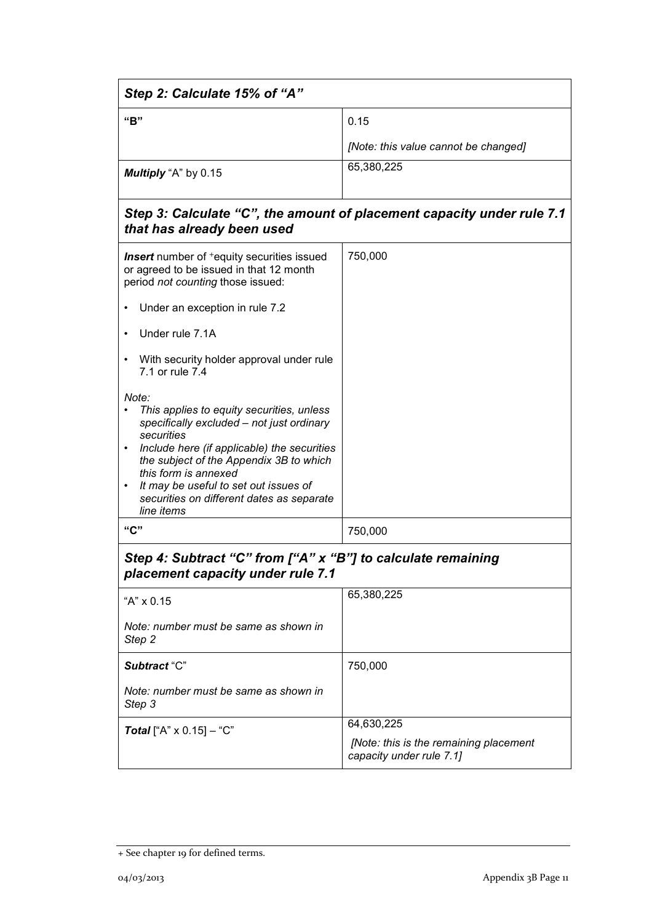| Step 2: Calculate 15% of "A"                                                                                                                                                                                                                                                                                                                                  |                                                                                  |  |
|---------------------------------------------------------------------------------------------------------------------------------------------------------------------------------------------------------------------------------------------------------------------------------------------------------------------------------------------------------------|----------------------------------------------------------------------------------|--|
| "B"                                                                                                                                                                                                                                                                                                                                                           | 0.15                                                                             |  |
|                                                                                                                                                                                                                                                                                                                                                               | [Note: this value cannot be changed]                                             |  |
| Multiply "A" by 0.15                                                                                                                                                                                                                                                                                                                                          | 65,380,225                                                                       |  |
| that has already been used                                                                                                                                                                                                                                                                                                                                    | Step 3: Calculate "C", the amount of placement capacity under rule 7.1           |  |
| <b>Insert</b> number of <sup>+</sup> equity securities issued<br>or agreed to be issued in that 12 month<br>period not counting those issued:                                                                                                                                                                                                                 | 750,000                                                                          |  |
| Under an exception in rule 7.2                                                                                                                                                                                                                                                                                                                                |                                                                                  |  |
| Under rule 7.1A                                                                                                                                                                                                                                                                                                                                               |                                                                                  |  |
| With security holder approval under rule<br>7.1 or rule 7.4                                                                                                                                                                                                                                                                                                   |                                                                                  |  |
| Note:<br>This applies to equity securities, unless<br>specifically excluded - not just ordinary<br>securities<br>Include here (if applicable) the securities<br>$\bullet$<br>the subject of the Appendix 3B to which<br>this form is annexed<br>It may be useful to set out issues of<br>$\bullet$<br>securities on different dates as separate<br>line items |                                                                                  |  |
| "C"                                                                                                                                                                                                                                                                                                                                                           | 750,000                                                                          |  |
| Step 4: Subtract "C" from ["A" x "B"] to calculate remaining<br>placement capacity under rule 7.1                                                                                                                                                                                                                                                             |                                                                                  |  |
| "A" x 0.15                                                                                                                                                                                                                                                                                                                                                    | 65,380,225                                                                       |  |
| Note: number must be same as shown in<br>Step 2                                                                                                                                                                                                                                                                                                               |                                                                                  |  |
| Subtract "C"                                                                                                                                                                                                                                                                                                                                                  | 750,000                                                                          |  |
| Note: number must be same as shown in<br>Step 3                                                                                                                                                                                                                                                                                                               |                                                                                  |  |
| <b>Total</b> ["A" $\times$ 0.15] - "C"                                                                                                                                                                                                                                                                                                                        | 64,630,225<br>[Note: this is the remaining placement<br>capacity under rule 7.1] |  |

<sup>+</sup> See chapter 19 for defined terms.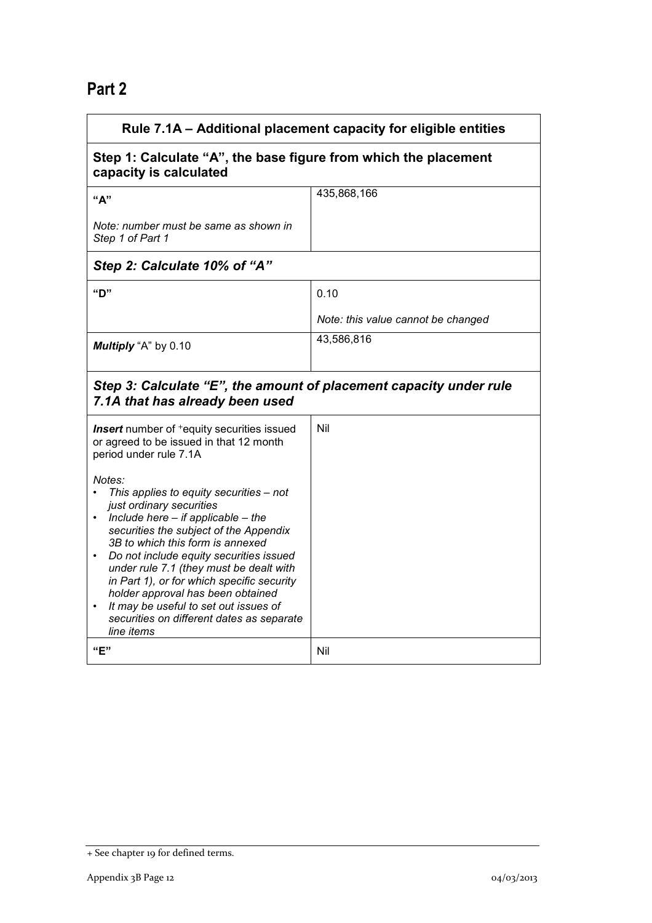## **Part 2**

| Rule 7.1A - Additional placement capacity for eligible entities                                                                                                                                                                                                                                                                                                                                                                                                                                                                                                                                                                       |                                    |  |
|---------------------------------------------------------------------------------------------------------------------------------------------------------------------------------------------------------------------------------------------------------------------------------------------------------------------------------------------------------------------------------------------------------------------------------------------------------------------------------------------------------------------------------------------------------------------------------------------------------------------------------------|------------------------------------|--|
| Step 1: Calculate "A", the base figure from which the placement<br>capacity is calculated                                                                                                                                                                                                                                                                                                                                                                                                                                                                                                                                             |                                    |  |
| "A"                                                                                                                                                                                                                                                                                                                                                                                                                                                                                                                                                                                                                                   | 435,868,166                        |  |
| Note: number must be same as shown in<br>Step 1 of Part 1                                                                                                                                                                                                                                                                                                                                                                                                                                                                                                                                                                             |                                    |  |
| Step 2: Calculate 10% of "A"                                                                                                                                                                                                                                                                                                                                                                                                                                                                                                                                                                                                          |                                    |  |
| "D"                                                                                                                                                                                                                                                                                                                                                                                                                                                                                                                                                                                                                                   | 0.10                               |  |
|                                                                                                                                                                                                                                                                                                                                                                                                                                                                                                                                                                                                                                       | Note: this value cannot be changed |  |
| Multiply "A" by 0.10                                                                                                                                                                                                                                                                                                                                                                                                                                                                                                                                                                                                                  | 43,586,816                         |  |
| Step 3: Calculate "E", the amount of placement capacity under rule<br>7.1A that has already been used                                                                                                                                                                                                                                                                                                                                                                                                                                                                                                                                 |                                    |  |
| <b>Insert</b> number of <sup>+</sup> equity securities issued<br>or agreed to be issued in that 12 month<br>period under rule 7.1A<br>Notes:<br>This applies to equity securities - not<br>just ordinary securities<br>Include here $-$ if applicable $-$ the<br>securities the subject of the Appendix<br>3B to which this form is annexed<br>Do not include equity securities issued<br>$\bullet$<br>under rule 7.1 (they must be dealt with<br>in Part 1), or for which specific security<br>holder approval has been obtained<br>It may be useful to set out issues of<br>securities on different dates as separate<br>line items | Nil                                |  |
| "E"                                                                                                                                                                                                                                                                                                                                                                                                                                                                                                                                                                                                                                   | Nil                                |  |

<sup>+</sup> See chapter 19 for defined terms.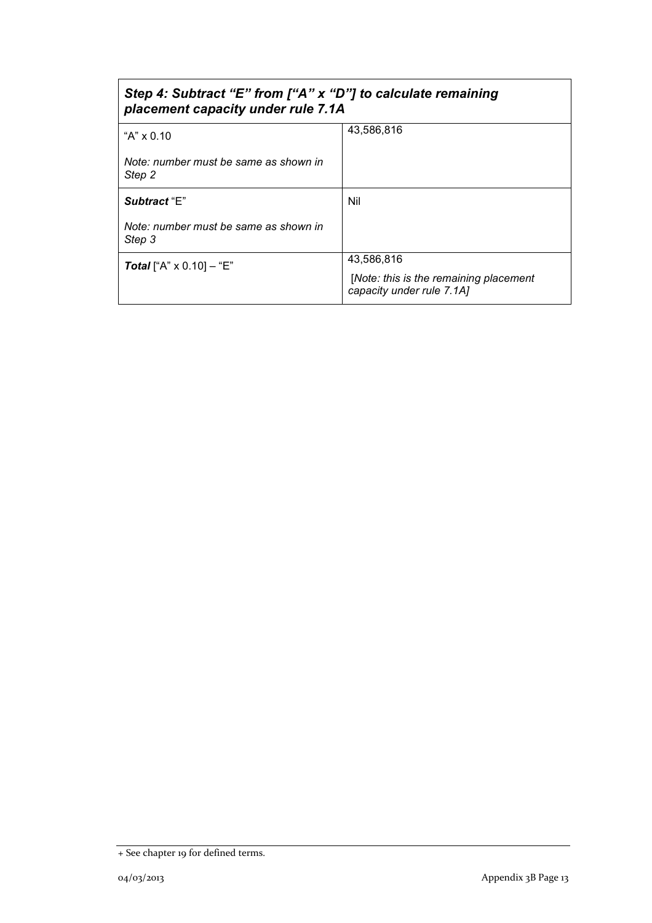| Step 4: Subtract "E" from ["A" x "D"] to calculate remaining<br>placement capacity under rule 7.1A |                                                                     |  |
|----------------------------------------------------------------------------------------------------|---------------------------------------------------------------------|--|
| "A" x 0.10                                                                                         | 43,586,816                                                          |  |
| Note: number must be same as shown in<br>Step 2                                                    |                                                                     |  |
| Subtract "E"                                                                                       | Nil                                                                 |  |
| Note: number must be same as shown in<br>Step 3                                                    |                                                                     |  |
| <b>Total</b> ["A" $\times$ 0.10] – "E"                                                             | 43,586,816                                                          |  |
|                                                                                                    | [Note: this is the remaining placement<br>capacity under rule 7.1A] |  |

<sup>+</sup> See chapter 19 for defined terms.